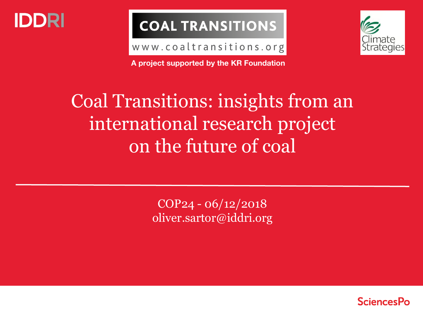

## **COAL TRANSITIONS**

www.coaltransitions.org



**A project supported by the KR Foundation**

# Coal Transitions: insights from an international research project on the future of coal

COP24 - 06/12/2018 oliver.sartor@iddri.org

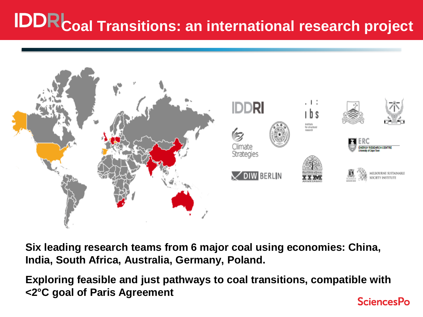# **IDDRCoal Transitions: an international research project**



**Six leading research teams from 6 major coal using economies: China, India, South Africa, Australia, Germany, Poland.** 

**Exploring feasible and just pathways to coal transitions, compatible with <2°C goal of Paris AgreementSciencesPo**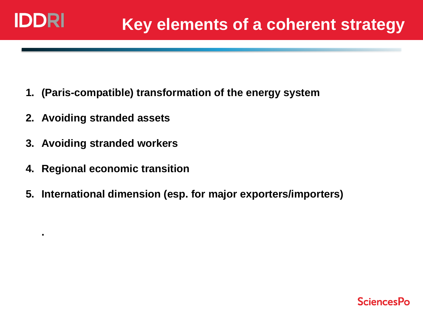**.** 

- **1. (Paris-compatible) transformation of the energy system**
- **2. Avoiding stranded assets**
- **3. Avoiding stranded workers**
- **4. Regional economic transition**
- **5. International dimension (esp. for major exporters/importers)**

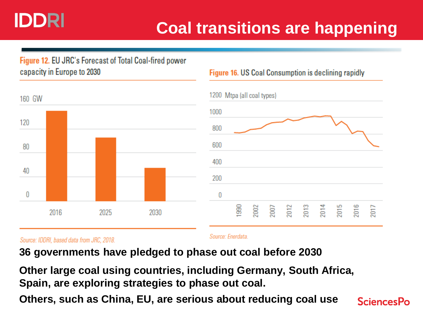## IDDRI

## **Coal transitions are happening**

#### Figure 12. EU JRC's Forecast of Total Coal-fired power capacity in Europe to 2030





**Figure 16. US Coal Consumption is declining rapidly** 

Source: IDDRI, based data from JRC, 2018.

Source: Enerdata

**36 governments have pledged to phase out coal before 2030** 

**Other large coal using countries, including Germany, South Africa, Spain, are exploring strategies to phase out coal.**

**Others, such as China, EU, are serious about reducing coal use**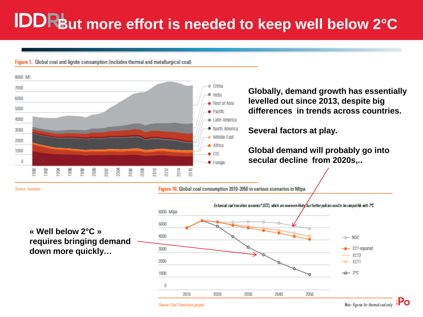# **But more effort is needed to keep well below 2°C**

Figure 1. Global coal and lignite consumption (includes thermal and metallurgical coal)



**down more quickly…** 



Sourca: Coal Transitions project.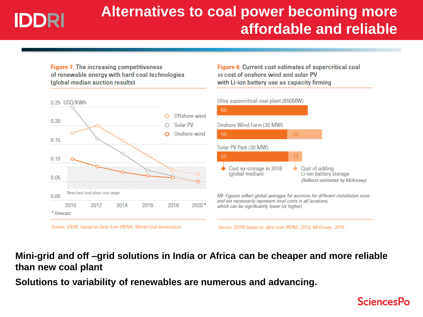# IDDRI

## **Alternatives to coal power becoming more affordable and reliable**

**Figure 7. The increasing competitiveness** of renewable energy with hard coal technologies (global median auction results)





Figure 8. Current cost estimates of supercritical coal vs cost of onshore wind and solar PV with Li-ion battery use as capacity firming



Source: IDDRI based on data from IRENA, 2018; McKinsey, 2018.

**Mini-grid and off –grid solutions in India or Africa can be cheaper and more reliable than new coal plant** 

**Solutions to variability of renewables are numerous and advancing.**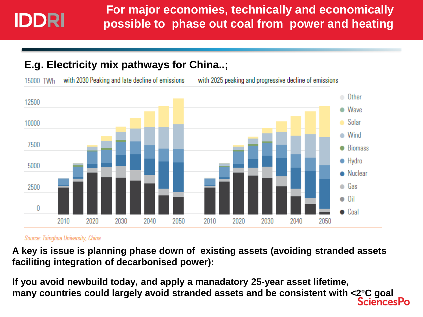### **E.g. Electricity mix pathways for China..;**

with 2030 Peaking and late decline of emissions 15000 TWh

with 2025 peaking and progressive decline of emissions



#### Source: Tsinghua University, China

**A key is issue is planning phase down of existing assets (avoiding stranded assets faciliting integration of decarbonised power):** 

**If you avoid newbuild today, and apply a manadatory 25-year asset lifetime, many countries could largely avoid stranded assets and be consistent with <2°C goalSciencesPo**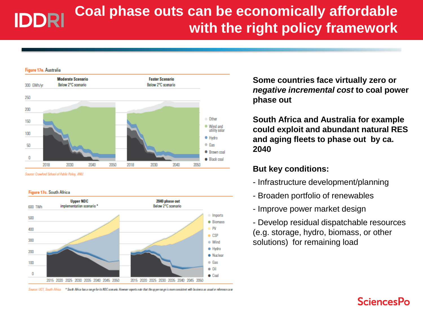### **Coal phase outs can be economically affordable IDDRI with the right policy framework**

![](_page_7_Figure_1.jpeg)

Source: Crawford School of Public Policy, ANU.

#### Figure 17c. South Africa

![](_page_7_Figure_4.jpeg)

Source: UCT, South Africa \* South Africa has a range for its NDC somario. However experts note that the upper range is more consistent with business as usual or reference care:

**Some countries face virtually zero or**  *negative incremental cost* **to coal power phase out**

**South Africa and Australia for example could exploit and abundant natural RES and aging fleets to phase out by ca. 2040**

#### **But key conditions:**

- Infrastructure development/planning
- Broaden portfolio of renewables
- Improve power market design

- Develop residual dispatchable resources (e.g. storage, hydro, biomass, or other solutions) for remaining load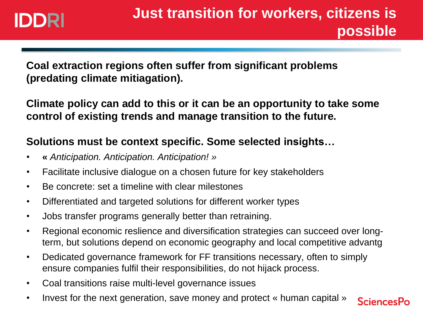## IDDRI

**SciencesPo** 

**Coal extraction regions often suffer from significant problems (predating climate mitiagation).** 

**Climate policy can add to this or it can be an opportunity to take some control of existing trends and manage transition to the future.**

### **Solutions must be context specific. Some selected insights…**

- **«** *Anticipation. Anticipation. Anticipation! »*
- Facilitate inclusive dialogue on a chosen future for key stakeholders
- Be concrete: set a timeline with clear milestones
- Differentiated and targeted solutions for different worker types
- Jobs transfer programs generally better than retraining.
- Regional economic reslience and diversification strategies can succeed over longterm, but solutions depend on economic geography and local competitive advantg
- Dedicated governance framework for FF transitions necessary, often to simply ensure companies fulfil their responsibilities, do not hijack process.
- Coal transitions raise multi-level governance issues
- Invest for the next generation, save money and protect « human capital »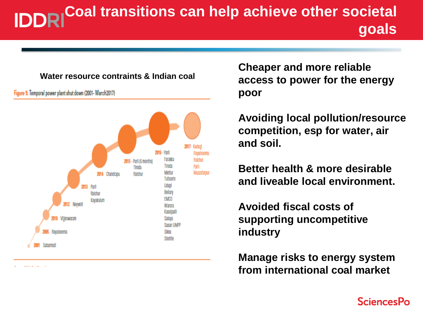## **Coal transitions can help achieve other societal goals**

#### **Water resource contraints & Indian coal**

2015 - Paril (6 months) Timda 2014 Chandrapu Ralchur

Figure 9. Temporal power plant shut down (2001- March2017)

2017 - Kudaol 2016 - Parll lavalseen Farakka Ralchur Tiroda Parll Mettur Muzzafarour Tutloodn Uduol Parll Bellary Ralchur **EMCO** Kavakulum 2012 Newell Warora Kasalnal 2010 VIIIeswaram Salava Sasso LIMPP 1005 Ravalseema Sikks Sterlite

**Cheaper and more reliable access to power for the energy poor**

**Avoiding local pollution/resource competition, esp for water, air and soil.** 

**Better health & more desirable and liveable local environment.** 

**Avoided fiscal costs of supporting uncompetitive industry**

**Manage risks to energy system from international coal market**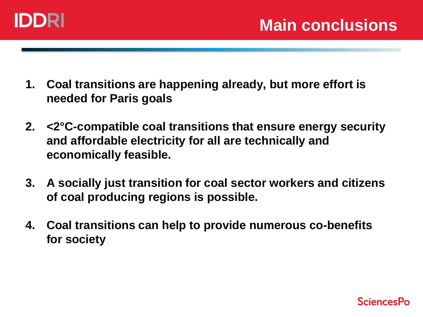![](_page_10_Picture_0.jpeg)

- **1. Coal transitions are happening already, but more effort is needed for Paris goals**
- **2. <2°C-compatible coal transitions that ensure energy security and affordable electricity for all are technically and economically feasible.**
- **3. A socially just transition for coal sector workers and citizens of coal producing regions is possible.**
- **4. Coal transitions can help to provide numerous co-benefits for society**

![](_page_10_Picture_6.jpeg)